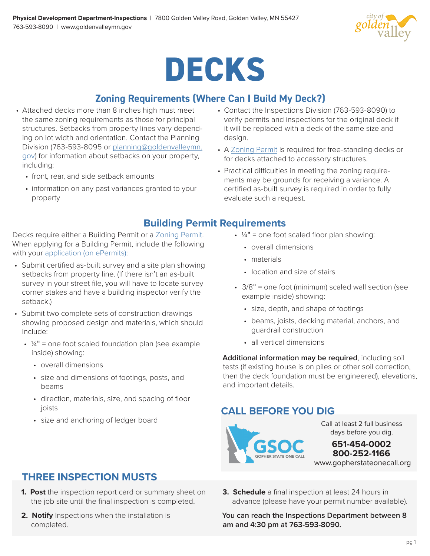

# **DECKS**

# **Zoning Requirements (Where Can I Build My Deck?)**

- Attached decks more than 8 inches high must meet the same zoning requirements as those for principal structures. Setbacks from property lines vary depending on lot width and orientation. Contact the Planning Division (763-593-8095 or [planning@goldenvalleymn.](mailto:planning%40goldenvalleymn.gov?subject=) [gov\)](mailto:planning%40goldenvalleymn.gov?subject=) for information about setbacks on your property, including:
	- front, rear, and side setback amounts
	- information on any past variances granted to your property
- Contact the Inspections Division (763-593-8090) to verify permits and inspections for the original deck if it will be replaced with a deck of the same size and design.
- A [Zoning Permit](https://www.goldenvalleymn.gov/homeyard/projects/pdf/zoning-permit-application.pdf) is required for free-standing decks or for decks attached to accessory structures.
- Practical difficulties in meeting the zoning requirements may be grounds for receiving a variance. A certified as-built survey is required in order to fully evaluate such a request.

# **Building Permit Requirements**

Decks require either a Building Permit or a [Zoning Permit.](https://www.goldenvalleymn.gov/homeyard/projects/pdf/zoning-permit-application.pdf) When applying for a Building Permit, include the following with your [application \(on ePermits\):](https://epermits.logis.org/home.aspx?city=gv)

- Submit certified as-built survey and a site plan showing setbacks from property line. (If there isn't an as-built survey in your street file, you will have to locate survey corner stakes and have a building inspector verify the setback.)
- Submit two complete sets of construction drawings showing proposed design and materials, which should include:
	- $\cdot$   $\frac{1}{4}$ " = one foot scaled foundation plan (see example inside) showing:
		- overall dimensions
		- size and dimensions of footings, posts, and beams
		- direction, materials, size, and spacing of floor joists
		- size and anchoring of ledger board
- $\cdot$   $\frac{1}{4}$ " = one foot scaled floor plan showing:
	- overall dimensions
	- materials
	- location and size of stairs
- 3/8" = one foot (minimum) scaled wall section (see example inside) showing:
	- size, depth, and shape of footings
	- beams, joists, decking material, anchors, and guardrail construction
	- all vertical dimensions

**Additional information may be required**, including soil tests (if existing house is on piles or other soil correction, then the deck foundation must be engineered), elevations, and important details.

# **CALL BEFORE YOU DIG**



Call at least 2 full business days before you dig.

www.gopherstateonecall.org **651-454-0002 800-252-1166**

- **THREE INSPECTION MUSTS**
- **1. Post** the inspection report card or summary sheet on the job site until the final inspection is completed.
- **2. Notify** Inspections when the installation is completed.
- **3. Schedule** a final inspection at least 24 hours in advance (please have your permit number available).

**You can reach the Inspections Department between 8 am and 4:30 pm at 763-593-8090.**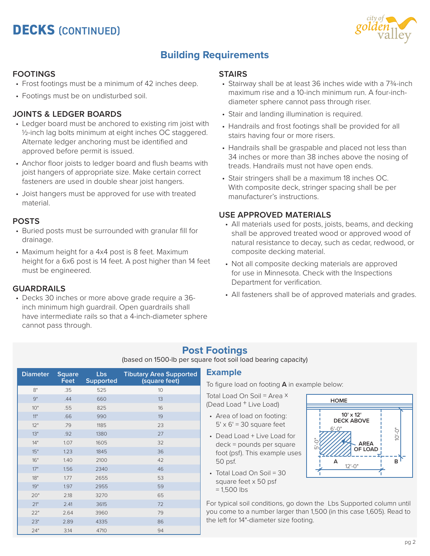# **DECKS** (CONTINUED)



# **Building Requirements**

#### **FOOTINGS**

- Frost footings must be a minimum of 42 inches deep.
- Footings must be on undisturbed soil.

#### **JOINTS & LEDGER BOARDS**

- Ledger board must be anchored to existing rim joist with ½-inch lag bolts minimum at eight inches OC staggered. Alternate ledger anchoring must be identified and approved before permit is issued.
- Anchor floor joists to ledger board and flush beams with joist hangers of appropriate size. Make certain correct fasteners are used in double shear joist hangers.
- Joist hangers must be approved for use with treated material.

#### **POSTS**

- Buried posts must be surrounded with granular fill for drainage.
- Maximum height for a 4x4 post is 8 feet. Maximum height for a 6x6 post is 14 feet. A post higher than 14 feet must be engineered.

#### **GUARDRAILS**

• Decks 30 inches or more above grade require a 36 inch minimum high guardrail. Open guardrails shall have intermediate rails so that a 4-inch-diameter sphere cannot pass through.

#### **STAIRS**

- Stairway shall be at least 36 inches wide with a 7¾-inch maximum rise and a 10-inch minimum run. A four-inchdiameter sphere cannot pass through riser.
- Stair and landing illumination is required.
- Handrails and frost footings shall be provided for all stairs having four or more risers.
- Handrails shall be graspable and placed not less than 34 inches or more than 38 inches above the nosing of treads. Handrails must not have open ends.
- Stair stringers shall be a maximum 18 inches OC. With composite deck, stringer spacing shall be per manufacturer's instructions.

#### **USE APPROVED MATERIALS**

- All materials used for posts, joists, beams, and decking shall be approved treated wood or approved wood of natural resistance to decay, such as cedar, redwood, or composite decking material.
- Not all composite decking materials are approved for use in Minnesota. Check with the Inspections Department for verification.
- All fasteners shall be of approved materials and grades.

# **Post Footings**

(based on 1500-lb per square foot soil load bearing capacity)

| <b>Diameter</b> | <b>Square</b><br>Feet | Lbs<br><b>Supported</b> | <b>Tibutary Area Supported</b><br>(square feet) |
|-----------------|-----------------------|-------------------------|-------------------------------------------------|
| 8"              | .35                   | 525                     | 10                                              |
| 9"              | .44                   | 660                     | 13                                              |
| 10"             | .55                   | 825                     | 16                                              |
| 11"             | .66                   | 990                     | 19                                              |
| 12"             | .79                   | 1185                    | 23                                              |
| 13"             | .92                   | 1380                    | 27                                              |
| 14"             | 1.07                  | 1605                    | 32                                              |
| 15"             | 1.23                  | 1845                    | 36                                              |
| 16"             | 1.40                  | 2100                    | 42                                              |
| 17"             | 1.56                  | 2340                    | 46                                              |
| 18"             | 1.77                  | 2655                    | 53                                              |
| 19"             | 1.97                  | 2955                    | 59                                              |
| 20"             | 2.18                  | 3270                    | 65                                              |
| 21"             | 2.41                  | 3615                    | 72                                              |
| 22"             | 2.64                  | 3960                    | 79                                              |
| 23"             | 2.89                  | 4335                    | 86                                              |
| 24"             | 3.14                  | 4710                    | 94                                              |

#### **Example**

To figure load on footing **A** in example below:

Total Load On Soil = Area × (Dead Load + Live Load)

- Area of load on footing:  $5' \times 6' = 30$  square feet
- Dead Load + Live Load for deck = pounds per square foot (psf). This example uses 50 psf.
- Total Load On Soil = 30 square feet x 50 psf  $= 1,500$  lbs



For typical soil conditions, go down the Lbs Supported column until you come to a number larger than 1,500 (in this case 1,605). Read to the left for 14"-diameter size footing.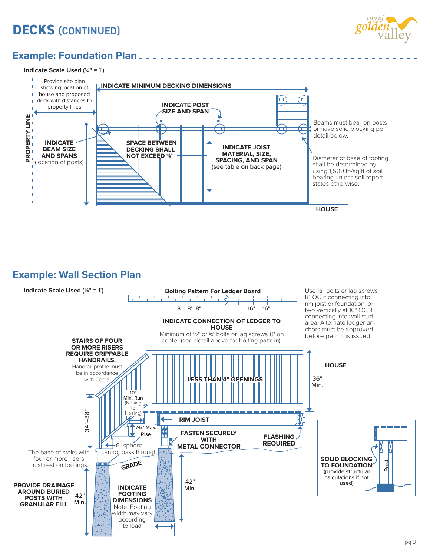# **DECKS** (CONTINUED)



# **Example: Foundation Plan**

**Indicate Scale Used** (¼" = 1')



<u>. . . . . . . . . . .</u>

**Example: Wall Section Plan**